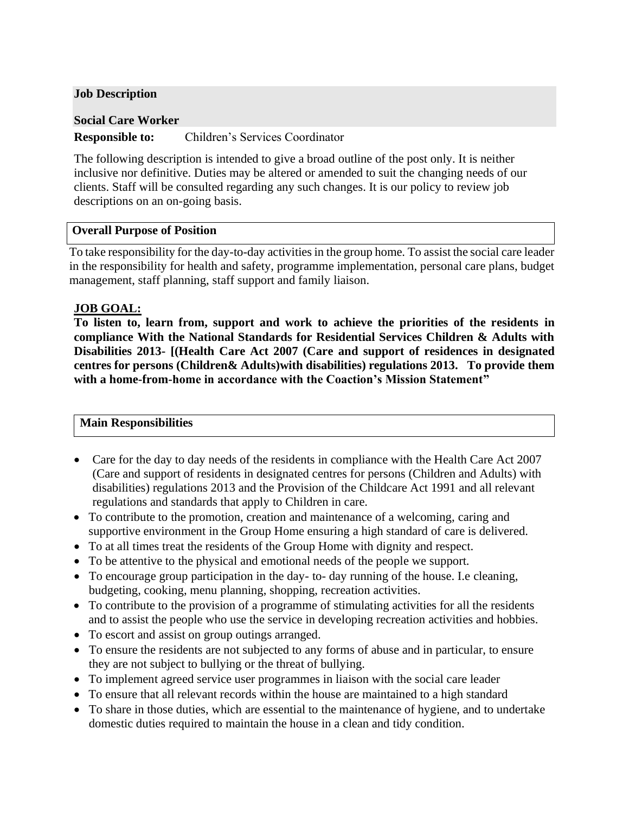### **Job Description**

#### **Social Care Worker**

#### **Responsible to:** Children's Services Coordinator

The following description is intended to give a broad outline of the post only. It is neither inclusive nor definitive. Duties may be altered or amended to suit the changing needs of our clients. Staff will be consulted regarding any such changes. It is our policy to review job descriptions on an on-going basis.

#### **Overall Purpose of Position**

To take responsibility for the day-to-day activities in the group home. To assist the social care leader in the responsibility for health and safety, programme implementation, personal care plans, budget management, staff planning, staff support and family liaison.

#### **JOB GOAL:**

**To listen to, learn from, support and work to achieve the priorities of the residents in compliance With the National Standards for Residential Services Children & Adults with Disabilities 2013- [(Health Care Act 2007 (Care and support of residences in designated centres for persons (Children& Adults)with disabilities) regulations 2013. To provide them with a home-from-home in accordance with the Coaction's Mission Statement"**

#### **Main Responsibilities**

- Care for the day to day needs of the residents in compliance with the Health Care Act 2007 (Care and support of residents in designated centres for persons (Children and Adults) with disabilities) regulations 2013 and the Provision of the Childcare Act 1991 and all relevant regulations and standards that apply to Children in care.
- To contribute to the promotion, creation and maintenance of a welcoming, caring and supportive environment in the Group Home ensuring a high standard of care is delivered.
- To at all times treat the residents of the Group Home with dignity and respect.
- To be attentive to the physical and emotional needs of the people we support.
- To encourage group participation in the day- to- day running of the house. I.e cleaning, budgeting, cooking, menu planning, shopping, recreation activities.
- To contribute to the provision of a programme of stimulating activities for all the residents and to assist the people who use the service in developing recreation activities and hobbies.
- To escort and assist on group outings arranged.
- To ensure the residents are not subjected to any forms of abuse and in particular, to ensure they are not subject to bullying or the threat of bullying.
- To implement agreed service user programmes in liaison with the social care leader
- To ensure that all relevant records within the house are maintained to a high standard
- To share in those duties, which are essential to the maintenance of hygiene, and to undertake domestic duties required to maintain the house in a clean and tidy condition.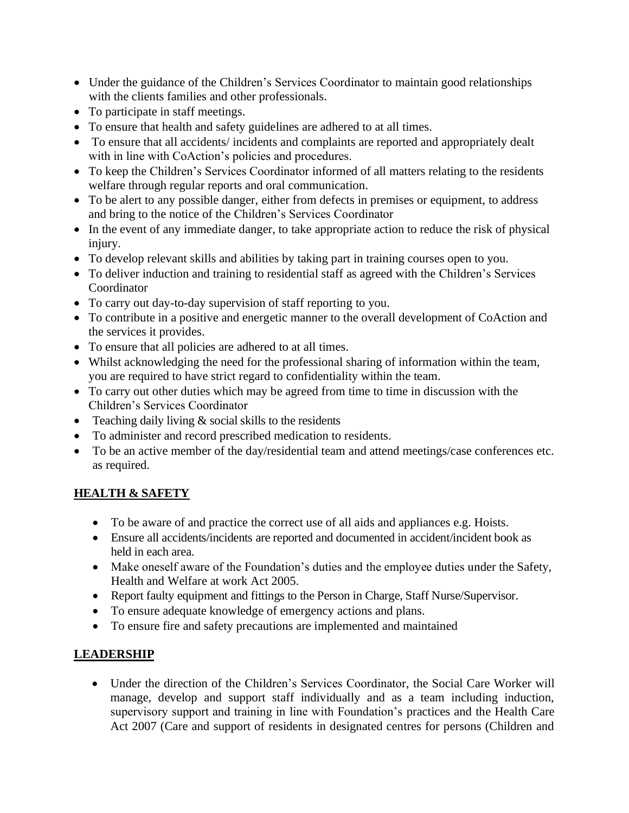- Under the guidance of the Children's Services Coordinator to maintain good relationships with the clients families and other professionals.
- To participate in staff meetings.
- To ensure that health and safety guidelines are adhered to at all times.
- To ensure that all accidents/ incidents and complaints are reported and appropriately dealt with in line with CoAction's policies and procedures.
- To keep the Children's Services Coordinator informed of all matters relating to the residents welfare through regular reports and oral communication.
- To be alert to any possible danger, either from defects in premises or equipment, to address and bring to the notice of the Children's Services Coordinator
- In the event of any immediate danger, to take appropriate action to reduce the risk of physical injury.
- To develop relevant skills and abilities by taking part in training courses open to you.
- To deliver induction and training to residential staff as agreed with the Children's Services Coordinator
- To carry out day-to-day supervision of staff reporting to you.
- To contribute in a positive and energetic manner to the overall development of CoAction and the services it provides.
- To ensure that all policies are adhered to at all times.
- Whilst acknowledging the need for the professional sharing of information within the team, you are required to have strict regard to confidentiality within the team.
- To carry out other duties which may be agreed from time to time in discussion with the Children's Services Coordinator
- Teaching daily living  $&$  social skills to the residents
- To administer and record prescribed medication to residents.
- To be an active member of the day/residential team and attend meetings/case conferences etc. as required.

# **HEALTH & SAFETY**

- To be aware of and practice the correct use of all aids and appliances e.g. Hoists.
- Ensure all accidents/incidents are reported and documented in accident/incident book as held in each area.
- Make oneself aware of the Foundation's duties and the employee duties under the Safety, Health and Welfare at work Act 2005.
- Report faulty equipment and fittings to the Person in Charge, Staff Nurse/Supervisor.
- To ensure adequate knowledge of emergency actions and plans.
- To ensure fire and safety precautions are implemented and maintained

# **LEADERSHIP**

• Under the direction of the Children's Services Coordinator, the Social Care Worker will manage, develop and support staff individually and as a team including induction, supervisory support and training in line with Foundation's practices and the Health Care Act 2007 (Care and support of residents in designated centres for persons (Children and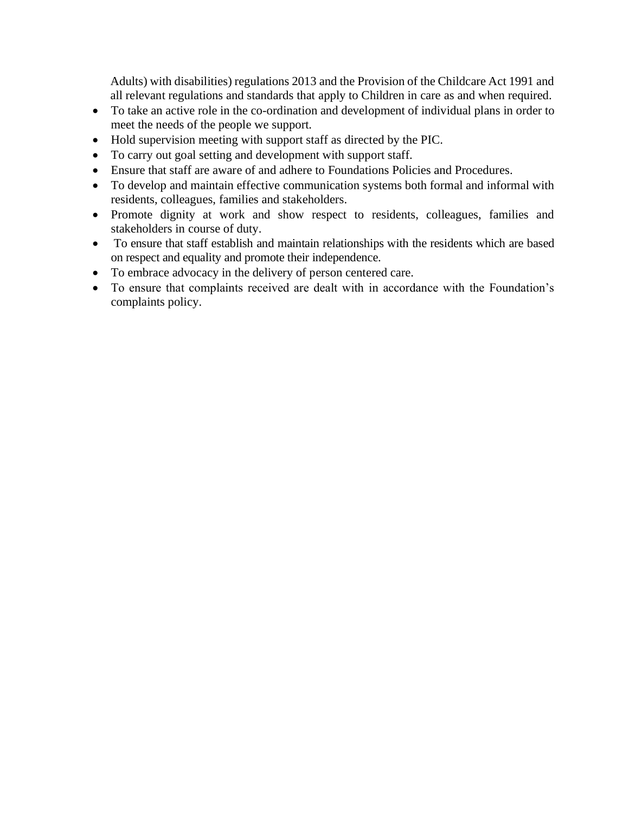Adults) with disabilities) regulations 2013 and the Provision of the Childcare Act 1991 and all relevant regulations and standards that apply to Children in care as and when required.

- To take an active role in the co-ordination and development of individual plans in order to meet the needs of the people we support.
- Hold supervision meeting with support staff as directed by the PIC.
- To carry out goal setting and development with support staff.
- Ensure that staff are aware of and adhere to Foundations Policies and Procedures.
- To develop and maintain effective communication systems both formal and informal with residents, colleagues, families and stakeholders.
- Promote dignity at work and show respect to residents, colleagues, families and stakeholders in course of duty.
- To ensure that staff establish and maintain relationships with the residents which are based on respect and equality and promote their independence.
- To embrace advocacy in the delivery of person centered care.
- To ensure that complaints received are dealt with in accordance with the Foundation's complaints policy.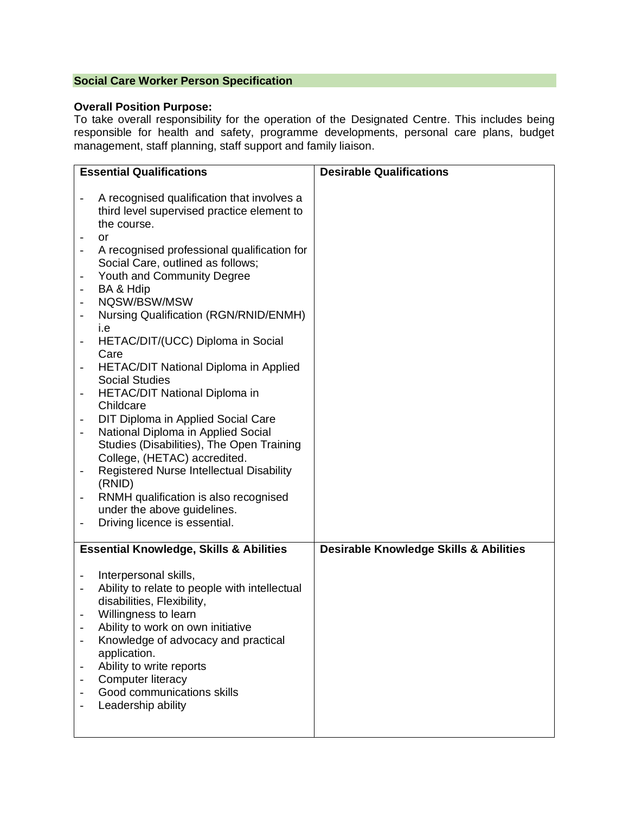### **Social Care Worker Person Specification**

#### **Overall Position Purpose:**

To take overall responsibility for the operation of the Designated Centre. This includes being responsible for health and safety, programme developments, personal care plans, budget management, staff planning, staff support and family liaison.

| <b>Essential Qualifications</b>                                                                                                                                                                                                                                                                                                                                                                                                                                                                                                                                                                                                                                                                                                                                                                                                                                                                                                                                 | <b>Desirable Qualifications</b>                   |
|-----------------------------------------------------------------------------------------------------------------------------------------------------------------------------------------------------------------------------------------------------------------------------------------------------------------------------------------------------------------------------------------------------------------------------------------------------------------------------------------------------------------------------------------------------------------------------------------------------------------------------------------------------------------------------------------------------------------------------------------------------------------------------------------------------------------------------------------------------------------------------------------------------------------------------------------------------------------|---------------------------------------------------|
| A recognised qualification that involves a<br>third level supervised practice element to<br>the course.<br>or<br>A recognised professional qualification for<br>Social Care, outlined as follows;<br>Youth and Community Degree<br>BA & Hdip<br>NQSW/BSW/MSW<br><b>Nursing Qualification (RGN/RNID/ENMH)</b><br>i.e<br>HETAC/DIT/(UCC) Diploma in Social<br>$\qquad \qquad \blacksquare$<br>Care<br><b>HETAC/DIT National Diploma in Applied</b><br>$\overline{\phantom{0}}$<br><b>Social Studies</b><br>HETAC/DIT National Diploma in<br>$\qquad \qquad -$<br>Childcare<br>DIT Diploma in Applied Social Care<br>National Diploma in Applied Social<br>Studies (Disabilities), The Open Training<br>College, (HETAC) accredited.<br><b>Registered Nurse Intellectual Disability</b><br>$\overline{\phantom{m}}$<br>(RNID)<br>RNMH qualification is also recognised<br>$\overline{\phantom{a}}$<br>under the above guidelines.<br>Driving licence is essential. |                                                   |
| <b>Essential Knowledge, Skills &amp; Abilities</b>                                                                                                                                                                                                                                                                                                                                                                                                                                                                                                                                                                                                                                                                                                                                                                                                                                                                                                              | <b>Desirable Knowledge Skills &amp; Abilities</b> |
| Interpersonal skills,<br>Ability to relate to people with intellectual<br>disabilities, Flexibility,<br>Willingness to learn<br>Ability to work on own initiative<br>Knowledge of advocacy and practical<br>application.<br>Ability to write reports<br><b>Computer literacy</b><br>Good communications skills<br>Leadership ability                                                                                                                                                                                                                                                                                                                                                                                                                                                                                                                                                                                                                            |                                                   |